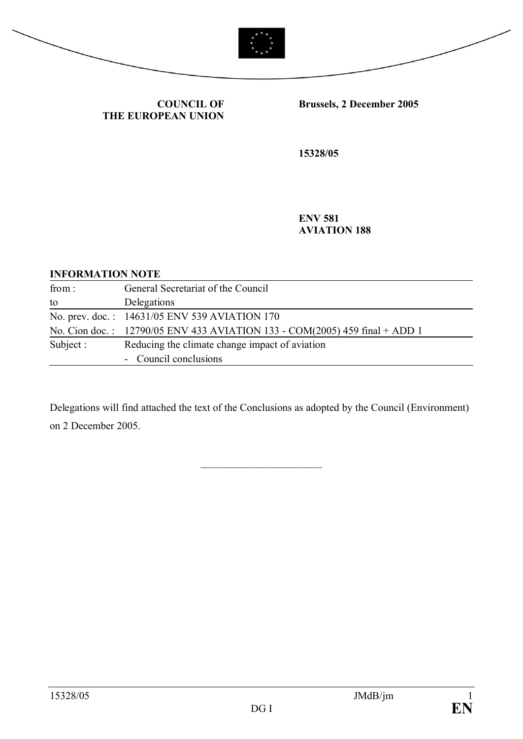



**COUNCIL OF THE EUROPEAN UNION** **Brussels, 2 December 2005**

**15328/05**

**ENV 581 AVIATION 188**

## **INFORMATION NOTE**

| from:     | General Secretariat of the Council                                         |
|-----------|----------------------------------------------------------------------------|
| to        | Delegations                                                                |
|           | No. prev. doc.: 14631/05 ENV 539 AVIATION 170                              |
|           | No. Cion doc.: 12790/05 ENV 433 AVIATION 133 - COM(2005) 459 final + ADD 1 |
| Subject : | Reducing the climate change impact of aviation                             |
|           | - Council conclusions                                                      |

Delegations will find attached the text of the Conclusions as adopted by the Council (Environment) on 2 December 2005.

 $\overline{\phantom{a}}$ 

15328/05 JMdB/jm 1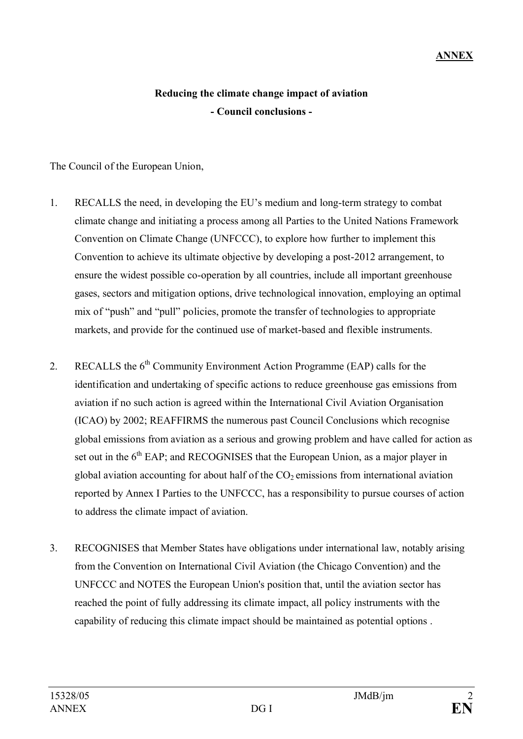## **Reducing the climate change impact of aviation - Council conclusions -**

The Council of the European Union,

- 1. RECALLS the need, in developing the EU's medium and long-term strategy to combat climate change and initiating a process among all Parties to the United Nations Framework Convention on Climate Change (UNFCCC), to explore how further to implement this Convention to achieve its ultimate objective by developing a post-2012 arrangement, to ensure the widest possible co-operation by all countries, include all important greenhouse gases, sectors and mitigation options, drive technological innovation, employing an optimal mix of "push" and "pull" policies, promote the transfer of technologies to appropriate markets, and provide for the continued use of market-based and flexible instruments.
- 2. RECALLS the  $6<sup>th</sup>$  Community Environment Action Programme (EAP) calls for the identification and undertaking of specific actions to reduce greenhouse gas emissions from aviation if no such action is agreed within the International Civil Aviation Organisation (ICAO) by 2002; REAFFIRMS the numerous past Council Conclusions which recognise global emissions from aviation as a serious and growing problem and have called for action as set out in the  $6<sup>th</sup>$  EAP; and RECOGNISES that the European Union, as a major player in global aviation accounting for about half of the  $CO<sub>2</sub>$  emissions from international aviation reported by Annex I Parties to the UNFCCC, has a responsibility to pursue courses of action to address the climate impact of aviation.
- 3. RECOGNISES that Member States have obligations under international law, notably arising from the Convention on International Civil Aviation (the Chicago Convention) and the UNFCCC and NOTES the European Union's position that, until the aviation sector has reached the point of fully addressing its climate impact, all policy instruments with the capability of reducing this climate impact should be maintained as potential options .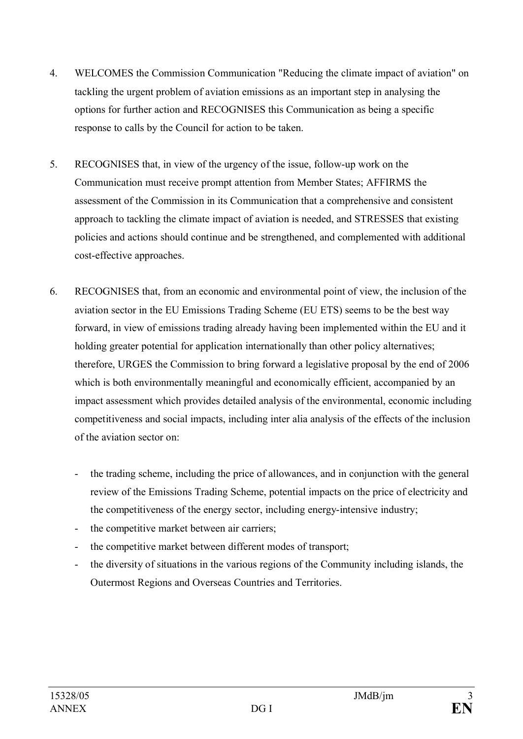- 4. WELCOMES the Commission Communication "Reducing the climate impact of aviation" on tackling the urgent problem of aviation emissions as an important step in analysing the options for further action and RECOGNISES this Communication as being a specific response to calls by the Council for action to be taken.
- 5. RECOGNISES that, in view of the urgency of the issue, follow-up work on the Communication must receive prompt attention from Member States; AFFIRMS the assessment of the Commission in its Communication that a comprehensive and consistent approach to tackling the climate impact of aviation is needed, and STRESSES that existing policies and actions should continue and be strengthened, and complemented with additional cost-effective approaches.
- 6. RECOGNISES that, from an economic and environmental point of view, the inclusion of the aviation sector in the EU Emissions Trading Scheme (EU ETS) seems to be the best way forward, in view of emissions trading already having been implemented within the EU and it holding greater potential for application internationally than other policy alternatives; therefore, URGES the Commission to bring forward a legislative proposal by the end of 2006 which is both environmentally meaningful and economically efficient, accompanied by an impact assessment which provides detailed analysis of the environmental, economic including competitiveness and social impacts, including inter alia analysis of the effects of the inclusion of the aviation sector on:
	- the trading scheme, including the price of allowances, and in conjunction with the general review of the Emissions Trading Scheme, potential impacts on the price of electricity and the competitiveness of the energy sector, including energy-intensive industry;
	- the competitive market between air carriers;
	- the competitive market between different modes of transport;
	- the diversity of situations in the various regions of the Community including islands, the Outermost Regions and Overseas Countries and Territories.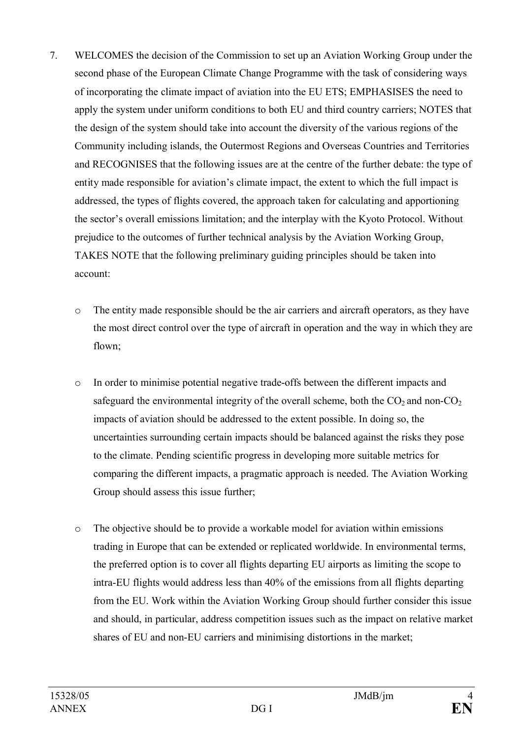- 7. WELCOMES the decision of the Commission to set up an Aviation Working Group under the second phase of the European Climate Change Programme with the task of considering ways of incorporating the climate impact of aviation into the EU ETS; EMPHASISES the need to apply the system under uniform conditions to both EU and third country carriers; NOTES that the design of the system should take into account the diversity of the various regions of the Community including islands, the Outermost Regions and Overseas Countries and Territories and RECOGNISES that the following issues are at the centre of the further debate: the type of entity made responsible for aviation's climate impact, the extent to which the full impact is addressed, the types of flights covered, the approach taken for calculating and apportioning the sector's overall emissions limitation; and the interplay with the Kyoto Protocol. Without prejudice to the outcomes of further technical analysis by the Aviation Working Group, TAKES NOTE that the following preliminary guiding principles should be taken into account:
	- o The entity made responsible should be the air carriers and aircraft operators, as they have the most direct control over the type of aircraft in operation and the way in which they are flown;
	- o In order to minimise potential negative trade-offs between the different impacts and safeguard the environmental integrity of the overall scheme, both the  $CO<sub>2</sub>$  and non- $CO<sub>2</sub>$ impacts of aviation should be addressed to the extent possible. In doing so, the uncertainties surrounding certain impacts should be balanced against the risks they pose to the climate. Pending scientific progress in developing more suitable metrics for comparing the different impacts, a pragmatic approach is needed. The Aviation Working Group should assess this issue further;
	- o The objective should be to provide a workable model for aviation within emissions trading in Europe that can be extended or replicated worldwide. In environmental terms, the preferred option is to cover all flights departing EU airports as limiting the scope to intra-EU flights would address less than 40% of the emissions from all flights departing from the EU. Work within the Aviation Working Group should further consider this issue and should, in particular, address competition issues such as the impact on relative market shares of EU and non-EU carriers and minimising distortions in the market;